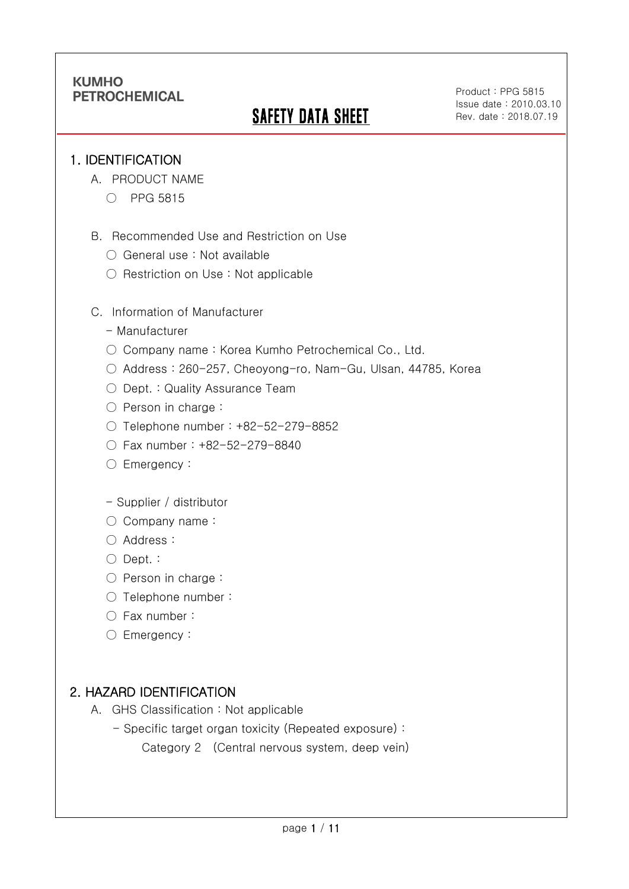# SAFETY DATA SHEET

Product : PPG 5815 Issue date : 2010.03.10 Rev. date : 2018.07.19

.

### 1. IDENTIFICATION

Ī

- A. PRODUCT NAME
	- PPG 5815
- B. Recommended Use and Restriction on Use
	- General use : Not available
	- Restriction on Use : Not applicable
- C. Information of Manufacturer
	- Manufacturer
	- Company name: Korea Kumho Petrochemical Co., Ltd.
	- Address : 260-257, Cheoyong-ro, Nam-Gu, Ulsan, 44785, Korea
	- Dept. : Quality Assurance Team
	- Person in charge :
	- Telephone number : +82-52-279-8852
	- Fax number : +82-52-279-8840
	- Emergency:

#### - Supplier / distributor

- Company name:
- Address :
- Dept. :
- Person in charge :
- Telephone number :
- Fax number :
- Emergency:

# 2. HAZARD IDENTIFICATION

- A. GHS Classification : Not applicable
	- Specific target organ toxicity (Repeated exposure) :

Category 2 (Central nervous system, deep vein)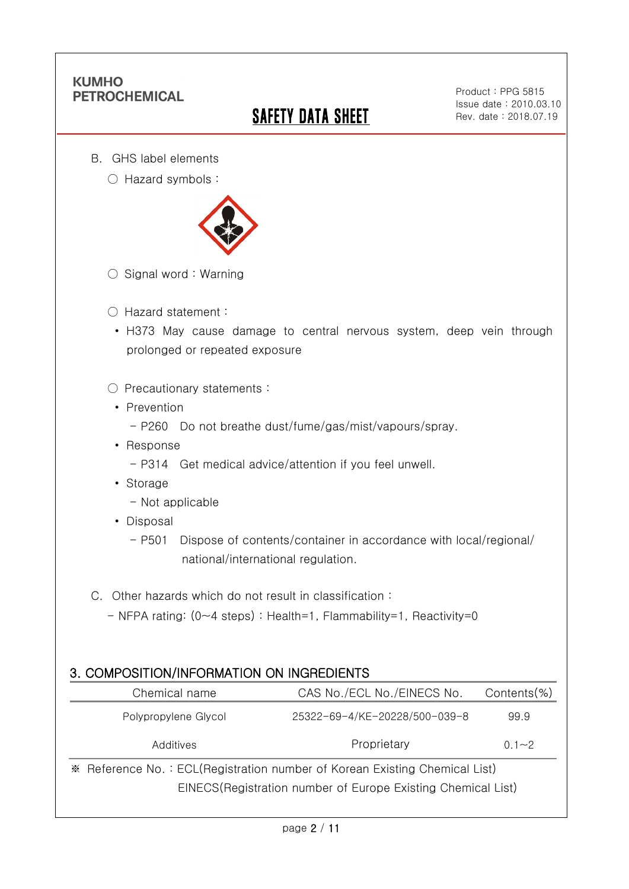Ī

# **SAFETY DATA SHEET**

Product : PPG 5815 Issue date : 2010.03.10 Rev. date : 2018.07.19

.

- B. GHS label elements
	- Hazard symbols :



- $\bigcirc$  Signal word : Warning
- Hazard statement :
- H373 May cause damage to central nervous system, deep vein through prolonged or repeated exposure
- Precautionary statements :
	- Prevention
		- P260 Do not breathe dust/fume/gas/mist/vapours/spray.
	- Response
		- P314 Get medical advice/attention if you feel unwell.
	- Storage
		- Not applicable
	- Disposal
		- P501 Dispose of contents/container in accordance with local/regional/ national/international regulation.
- C. Other hazards which do not result in classification :
	- NFPA rating: (0~4 steps) : Health=1, Flammability=1, Reactivity=0

### 3. COMPOSITION/INFORMATION ON INGREDIENTS

| Chemical name                                                              | CAS No./ECL No./EINECS No.    | $Contents$ %) |
|----------------------------------------------------------------------------|-------------------------------|---------------|
| Polypropylene Glycol                                                       | 25322-69-4/KE-20228/500-039-8 | 99.9          |
| Additives                                                                  | Proprietary                   | $0.1 - 2$     |
| * Reference No.: ECL(Registration number of Korean Existing Chemical List) |                               |               |
| EINECS (Registration number of Europe Existing Chemical List)              |                               |               |
|                                                                            |                               |               |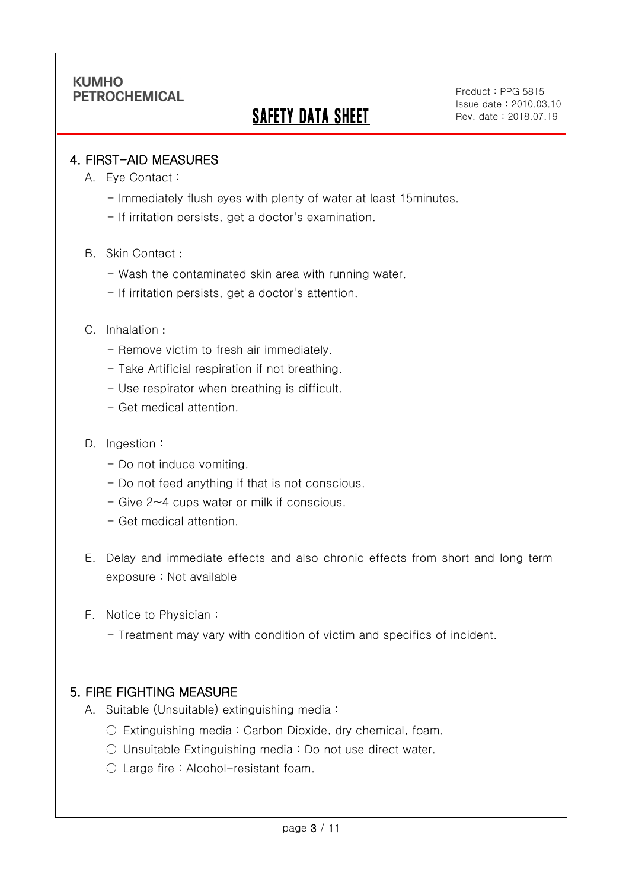Ī

# SAFETY DATA SHEET

Product : PPG 5815 Issue date : 2010.03.10 Rev. date : 2018.07.19

.

### 4. FIRST-AID MEASURES

- A. Eye Contact :
	- Immediately flush eyes with plenty of water at least 15minutes.
	- If irritation persists, get a doctor's examination.
- B. Skin Contact :
	- Wash the contaminated skin area with running water.
	- If irritation persists, get a doctor's attention.

#### C. Inhalation :

- Remove victim to fresh air immediately.
- Take Artificial respiration if not breathing.
- Use respirator when breathing is difficult.
- Get medical attention.
- D. Ingestion :
	- Do not induce vomiting.
	- Do not feed anything if that is not conscious.
	- Give 2~4 cups water or milk if conscious.
	- Get medical attention.
- E. Delay and immediate effects and also chronic effects from short and long term exposure : Not available
- F. Notice to Physician :
	- Treatment may vary with condition of victim and specifics of incident.

### 5. FIRE FIGHTING MEASURE

- A. Suitable (Unsuitable) extinguishing media :
	- $\circ$  Extinguishing media: Carbon Dioxide, dry chemical, foam.
	- Unsuitable Extinguishing media : Do not use direct water.
	- Large fire : Alcohol-resistant foam.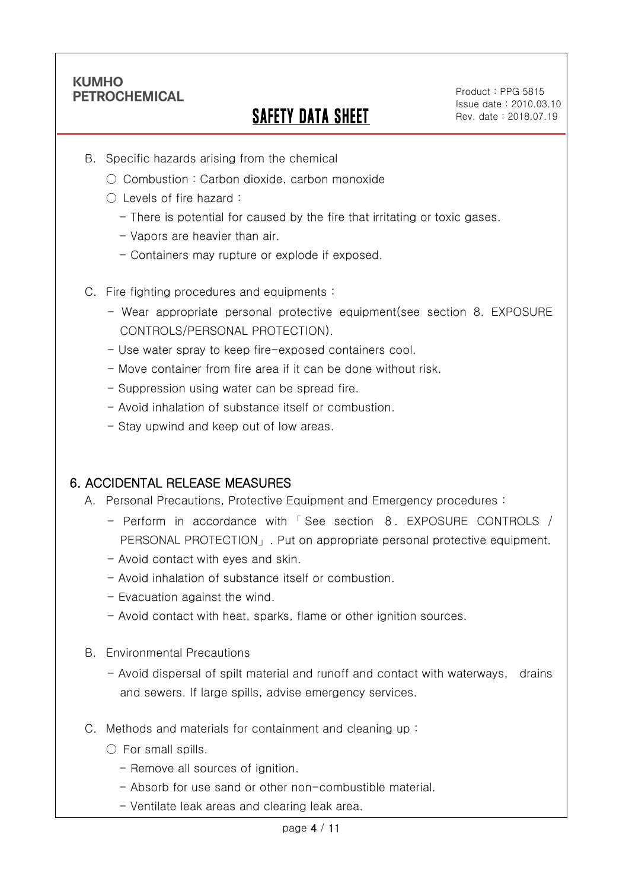Ī

# SAFETY DATA SHEET

Product : PPG 5815 Issue date : 2010.03.10 Rev. date : 2018.07.19

.

- B. Specific hazards arising from the chemical
	- Combustion: Carbon dioxide, carbon monoxide
	- Levels of fire hazard :
		- There is potential for caused by the fire that irritating or toxic gases.
		- Vapors are heavier than air.
		- Containers may rupture or explode if exposed.
- C. Fire fighting procedures and equipments :
	- Wear appropriate personal protective equipment(see section 8. EXPOSURE CONTROLS/PERSONAL PROTECTION).
	- Use water spray to keep fire-exposed containers cool.
	- Move container from fire area if it can be done without risk.
	- Suppression using water can be spread fire.
	- Avoid inhalation of substance itself or combustion.
	- Stay upwind and keep out of low areas.

### 6. ACCIDENTAL RELEASE MEASURES

- A. Personal Precautions, Protective Equipment and Emergency procedures :
	- Perform in accordance with 「 See section 8. EXPOSURE CONTROLS / PERSONAL PROTECTION」. Put on appropriate personal protective equipment.
	- Avoid contact with eyes and skin.
	- Avoid inhalation of substance itself or combustion.
	- Evacuation against the wind.
	- Avoid contact with heat, sparks, flame or other ignition sources.
- B. Environmental Precautions
	- Avoid dispersal of spilt material and runoff and contact with waterways, drains and sewers. If large spills, advise emergency services.
- C. Methods and materials for containment and cleaning up :
	- $\bigcirc$  For small spills.
		- Remove all sources of ignition.
		- Absorb for use sand or other non-combustible material.
		- Ventilate leak areas and clearing leak area.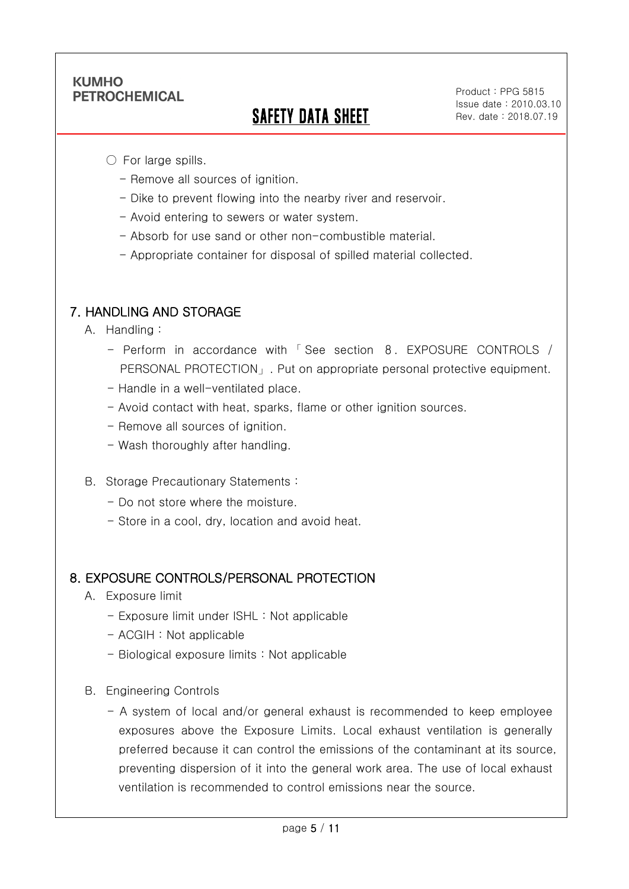Ī

# SAFETY DATA SHEET

Product : PPG 5815 Issue date : 2010.03.10 Rev. date : 2018.07.19

.

 $\bigcirc$  For large spills.

- Remove all sources of ignition.
- Dike to prevent flowing into the nearby river and reservoir.
- Avoid entering to sewers or water system.
- Absorb for use sand or other non-combustible material.
- Appropriate container for disposal of spilled material collected.

## 7. HANDLING AND STORAGE

- A. Handling :
	- Perform in accordance with 「 See section 8. EXPOSURE CONTROLS / PERSONAL PROTECTION」. Put on appropriate personal protective equipment.
	- Handle in a well-ventilated place.
	- Avoid contact with heat, sparks, flame or other ignition sources.
	- Remove all sources of ignition.
	- Wash thoroughly after handling.
- B. Storage Precautionary Statements :
	- Do not store where the moisture.
	- Store in a cool, dry, location and avoid heat.

#### 8. EXPOSURE CONTROLS/PERSONAL PROTECTION

- A. Exposure limit
	- Exposure limit under ISHL : Not applicable
	- ACGIH : Not applicable
	- Biological exposure limits : Not applicable
- B. Engineering Controls
	- A system of local and/or general exhaust is recommended to keep employee exposures above the Exposure Limits. Local exhaust ventilation is generally preferred because it can control the emissions of the contaminant at its source, preventing dispersion of it into the general work area. The use of local exhaust ventilation is recommended to control emissions near the source.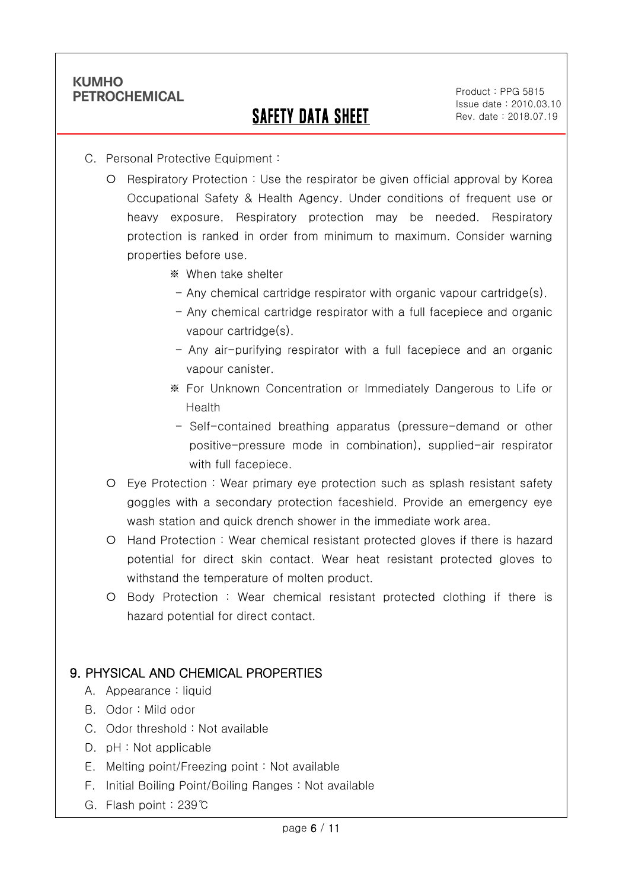Ī

# SAFETY DATA SHEET

Product : PPG 5815 Issue date : 2010.03.10 Rev. date : 2018.07.19

.

- C. Personal Protective Equipment :
	- O Respiratory Protection : Use the respirator be given official approval by Korea Occupational Safety & Health Agency. Under conditions of frequent use or heavy exposure, Respiratory protection may be needed. Respiratory protection is ranked in order from minimum to maximum. Consider warning properties before use.
		- ※ When take shelter
			- Any chemical cartridge respirator with organic vapour cartridge(s).
		- Any chemical cartridge respirator with a full facepiece and organic vapour cartridge(s).
		- Any air-purifying respirator with a full facepiece and an organic vapour canister.
		- ※ For Unknown Concentration or Immediately Dangerous to Life or Health
		- Self-contained breathing apparatus (pressure-demand or other positive-pressure mode in combination), supplied-air respirator with full facepiece.
	- Eye Protection : Wear primary eye protection such as splash resistant safety goggles with a secondary protection faceshield. Provide an emergency eye wash station and quick drench shower in the immediate work area.
	- O Hand Protection : Wear chemical resistant protected gloves if there is hazard potential for direct skin contact. Wear heat resistant protected gloves to withstand the temperature of molten product.
	- Body Protection : Wear chemical resistant protected clothing if there is hazard potential for direct contact.

### 9. PHYSICAL AND CHEMICAL PROPERTIES

- A. Appearance : liquid
- B. Odor : Mild odor
- C. Odor threshold : Not available
- D. pH : Not applicable
- E. Melting point/Freezing point : Not available
- F. Initial Boiling Point/Boiling Ranges : Not available
- G. Flash point : 239℃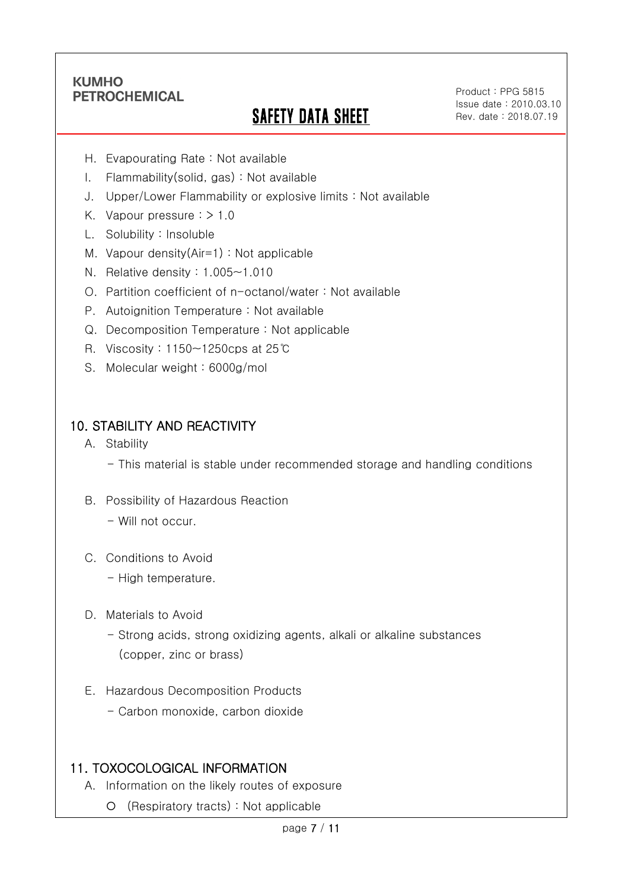Ī

# SAFETY DATA SHEET

Product : PPG 5815 Issue date : 2010.03.10 Rev. date : 2018.07.19

.

- H. Evapourating Rate : Not available
- I. Flammability(solid, gas) : Not available
- J. Upper/Lower Flammability or explosive limits : Not available
- K. Vapour pressure  $:$  > 1.0
- L. Solubility : Insoluble
- M. Vapour density(Air=1) : Not applicable
- N. Relative density : 1.005~1.010
- O. Partition coefficient of n-octanol/water : Not available
- P. Autoignition Temperature : Not available
- Q. Decomposition Temperature : Not applicable
- R. Viscosity : 1150~1250cps at 25℃
- S. Molecular weight : 6000g/mol

# 10. STABILITY AND REACTIVITY

- A. Stability
	- This material is stable under recommended storage and handling conditions
- B. Possibility of Hazardous Reaction
	- Will not occur.
- C. Conditions to Avoid
	- High temperature.
- D. Materials to Avoid
	- Strong acids, strong oxidizing agents, alkali or alkaline substances (copper, zinc or brass)
- E. Hazardous Decomposition Products
	- Carbon monoxide, carbon dioxide

# 11. TOXOCOLOGICAL INFORMATION

- A. Information on the likely routes of exposure
	- (Respiratory tracts) : Not applicable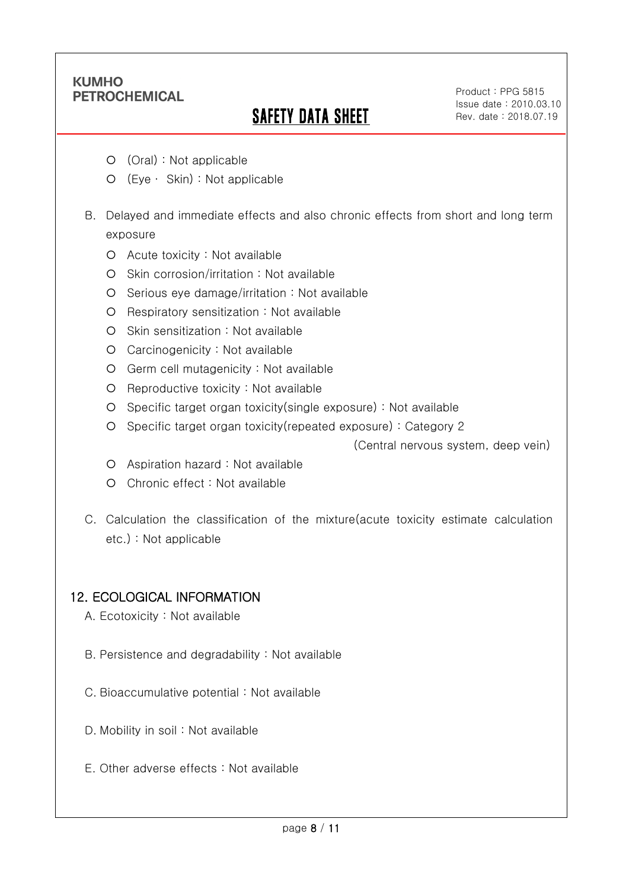Ī

# SAFETY DATA SHEET

Product : PPG 5815 Issue date : 2010.03.10 Rev. date : 2018.07.19

.

- (Oral) : Not applicable
- (Eye ∙ Skin) : Not applicable
- B. Delayed and immediate effects and also chronic effects from short and long term exposure
	- Acute toxicity : Not available
	- O Skin corrosion/irritation : Not available
	- O Serious eye damage/irritation : Not available
	- O Respiratory sensitization : Not available
	- O Skin sensitization : Not available
	- Carcinogenicity : Not available
	- Germ cell mutagenicity : Not available
	- O Reproductive toxicity : Not available
	- Specific target organ toxicity(single exposure) : Not available
	- Specific target organ toxicity(repeated exposure) : Category 2

(Central nervous system, deep vein)

- Aspiration hazard : Not available
- Chronic effect : Not available
- C. Calculation the classification of the mixture(acute toxicity estimate calculation etc.) : Not applicable

#### 12. ECOLOGICAL INFORMATION

- A. Ecotoxicity : Not available
- B. Persistence and degradability : Not available
- C. Bioaccumulative potential : Not available
- D. Mobility in soil : Not available
- E. Other adverse effects : Not available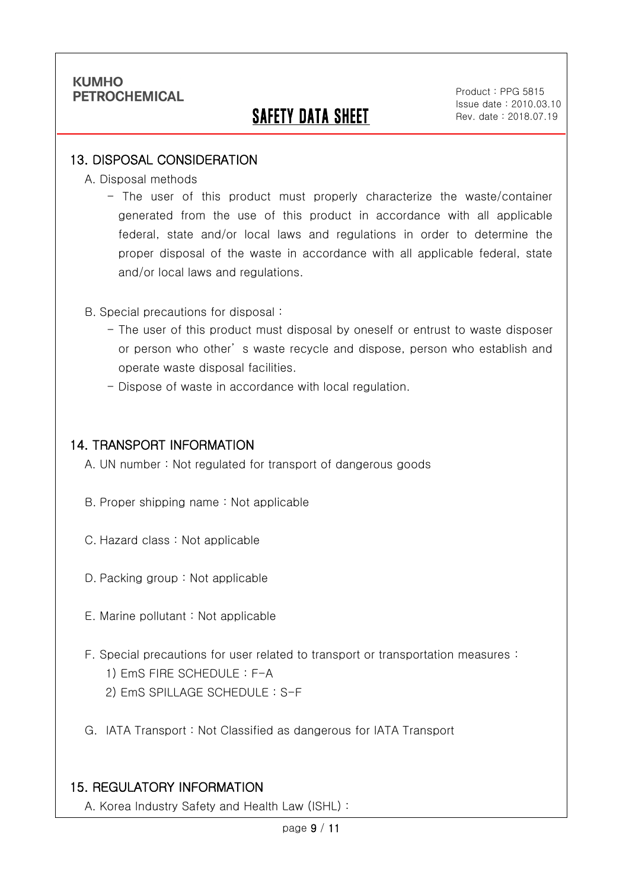Ī

# **SAFETY DATA SHEET**

Product : PPG 5815 Issue date : 2010.03.10 Rev. date : 2018.07.19

.

### 13. DISPOSAL CONSIDERATION

A. Disposal methods

- The user of this product must properly characterize the waste/container generated from the use of this product in accordance with all applicable federal, state and/or local laws and regulations in order to determine the proper disposal of the waste in accordance with all applicable federal, state and/or local laws and regulations.

B. Special precautions for disposal :

- The user of this product must disposal by oneself or entrust to waste disposer or person who other' s waste recycle and dispose, person who establish and operate waste disposal facilities.
- Dispose of waste in accordance with local regulation.

### 14. TRANSPORT INFORMATION

A. UN number : Not regulated for transport of dangerous goods

- B. Proper shipping name : Not applicable
- C. Hazard class : Not applicable
- D. Packing group : Not applicable
- E. Marine pollutant : Not applicable
- F. Special precautions for user related to transport or transportation measures :
	- 1) EmS FIRE SCHEDULE : F-A
	- 2) EmS SPILLAGE SCHEDULE : S-F
- G. IATA Transport : Not Classified as dangerous for IATA Transport

# 15. REGULATORY INFORMATION

A. Korea Industry Safety and Health Law (ISHL) :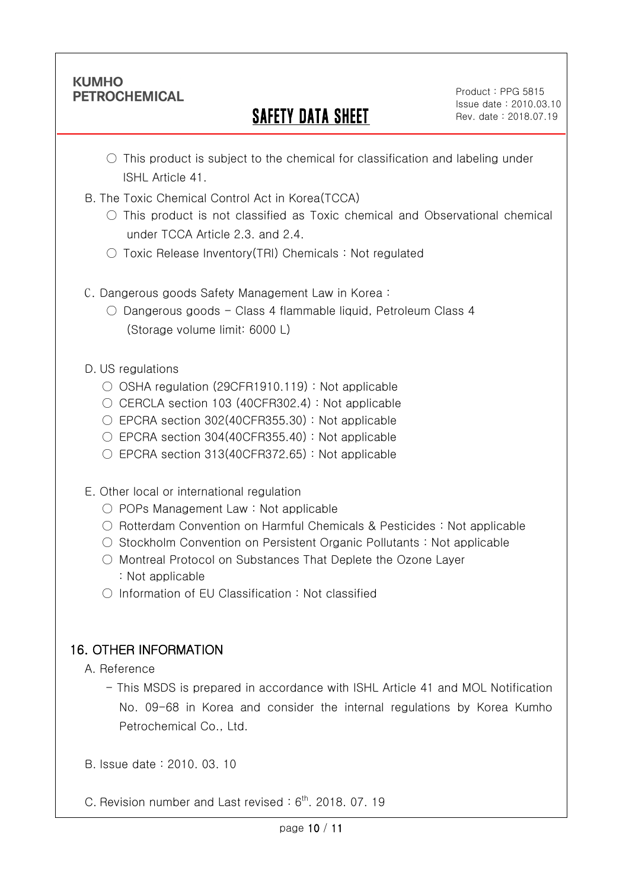Ī

# SAFETY DATA SHEET

.

- $\circ$  This product is subject to the chemical for classification and labeling under ISHL Article 41.
- B. The Toxic Chemical Control Act in Korea(TCCA)
	- $\circ$  This product is not classified as Toxic chemical and Observational chemical under TCCA Article 2.3. and 2.4.
	- $\circlearrowright$  Toxic Release Inventory (TRI) Chemicals : Not regulated
- C. Dangerous goods Safety Management Law in Korea :
	- $\circ$  Dangerous goods Class 4 flammable liquid, Petroleum Class 4 (Storage volume limit: 6000 L)
- D. US regulations
	- OSHA regulation (29CFR1910.119) : Not applicable
	- CERCLA section 103 (40CFR302.4) : Not applicable
	- $\circ$  EPCRA section 302(40CFR355.30) : Not applicable
	- $\circ$  EPCRA section 304(40CFR355.40) : Not applicable
	- $\circ$  EPCRA section 313(40CFR372.65) : Not applicable
- E. Other local or international regulation
	- POPs Management Law : Not applicable
	- Rotterdam Convention on Harmful Chemicals & Pesticides : Not applicable
	- Stockholm Convention on Persistent Organic Pollutants : Not applicable
	- Montreal Protocol on Substances That Deplete the Ozone Layer : Not applicable
	- Information of EU Classification : Not classified

# 16. OTHER INFORMATION

A. Reference

- This MSDS is prepared in accordance with ISHL Article 41 and MOL Notification No. 09-68 in Korea and consider the internal regulations by Korea Kumho Petrochemical Co., Ltd.
- B. Issue date : 2010. 03. 10
- C. Revision number and Last revised:  $6<sup>th</sup>$ . 2018. 07. 19